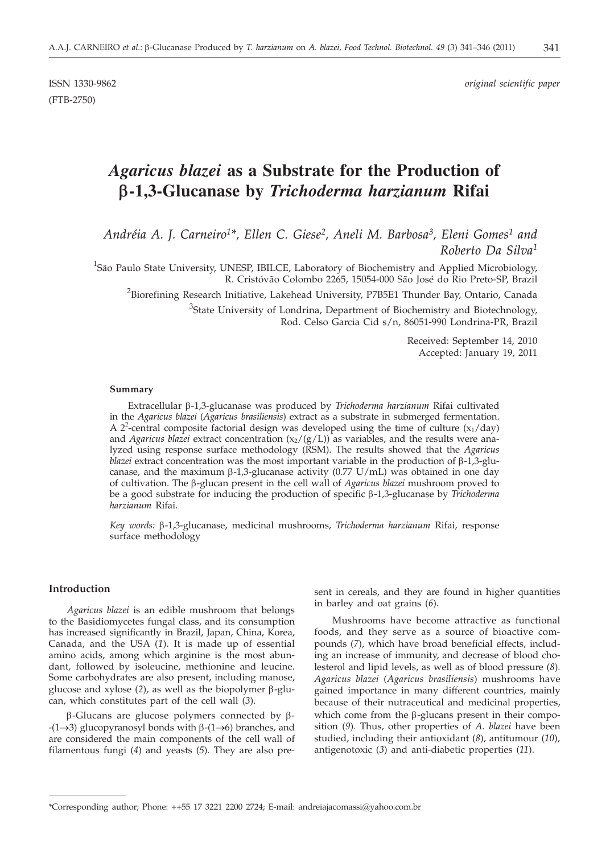(FTB-2750)

ISSN 1330-9862 *original scientific paper*

# *Agaricus blazei* **as a Substrate for the Production of b-1,3-Glucanase by** *Trichoderma harzianum* **Rifai**

*Andréia A. J. Carneiro1\*, Ellen C. Giese2, Aneli M. Barbosa3, Eleni Gomes1 and Roberto Da Silva1*

<sup>1</sup>São Paulo State University, UNESP, IBILCE, Laboratory of Biochemistry and Applied Microbiology, R. Cristóvão Colombo 2265, 15054-000 São José do Rio Preto-SP, Brazil

 $^2$ Biorefining Research Initiative, Lakehead University, P7B5E1 Thunder Bay, Ontario, Canada

<sup>3</sup>State University of Londrina, Department of Biochemistry and Biotechnology, Rod. Celso Garcia Cid s/n, 86051-990 Londrina-PR, Brazil

> Received: September 14, 2010 Accepted: January 19, 2011

#### **Summary**

Extracellular b-1,3-glucanase was produced by *Trichoderma harzianum* Rifai cultivated in the *Agaricus blazei* (*Agaricus brasiliensis*) extract as a substrate in submerged fermentation. A 2<sup>2</sup>-central composite factorial design was developed using the time of culture  $(x_1/day)$ and *Agaricus blazei* extract concentration  $(x_2/(g/L))$  as variables, and the results were analyzed using response surface methodology (RSM). The results showed that the *Agaricus blazei* extract concentration was the most important variable in the production of  $\beta$ -1,3-glucanase, and the maximum  $\beta$ -1,3-glucanase activity (0.77 U/mL) was obtained in one day of cultivation. The b-glucan present in the cell wall of *Agaricus blazei* mushroom proved to be a good substrate for inducing the production of specific b-1,3-glucanase by *Trichoderma harzianum* Rifai.

*Key words:* b-1,3-glucanase, medicinal mushrooms, *Trichoderma harzianum* Rifai*,* response surface methodology

### **Introduction**

*Agaricus blazei* is an edible mushroom that belongs to the Basidiomycetes fungal class, and its consumption has increased significantly in Brazil, Japan, China, Korea, Canada, and the USA (*1*). It is made up of essential amino acids, among which arginine is the most abundant*,* followed by isoleucine, methionine and leucine. Some carbohydrates are also present, including manose, glucose and xylose  $(2)$ , as well as the biopolymer  $\beta$ -glucan, which constitutes part of the cell wall (*3*).

 $\beta$ -Glucans are glucose polymers connected by  $\beta$ - $-(1\rightarrow3)$  glucopyranosyl bonds with  $\beta-(1\rightarrow6)$  branches, and are considered the main components of the cell wall of filamentous fungi (*4*) and yeasts (*5*). They are also present in cereals, and they are found in higher quantities in barley and oat grains (*6*).

Mushrooms have become attractive as functional foods, and they serve as a source of bioactive compounds (*7*), which have broad beneficial effects, including an increase of immunity, and decrease of blood cholesterol and lipid levels, as well as of blood pressure (*8*). *Agaricus blazei* (*Agaricus brasiliensis*) mushrooms have gained importance in many different countries, mainly because of their nutraceutical and medicinal properties, which come from the  $\beta$ -glucans present in their composition (*9*). Thus, other properties of *A. blazei* have been studied, including their antioxidant (*8*), antitumour (*10*), antigenotoxic (*3*) and anti-diabetic properties (*11*).

<sup>\*</sup>Corresponding author; Phone: ++55 17 3221 2200 2724; E-mail: andreiajacomassi@yahoo.com.br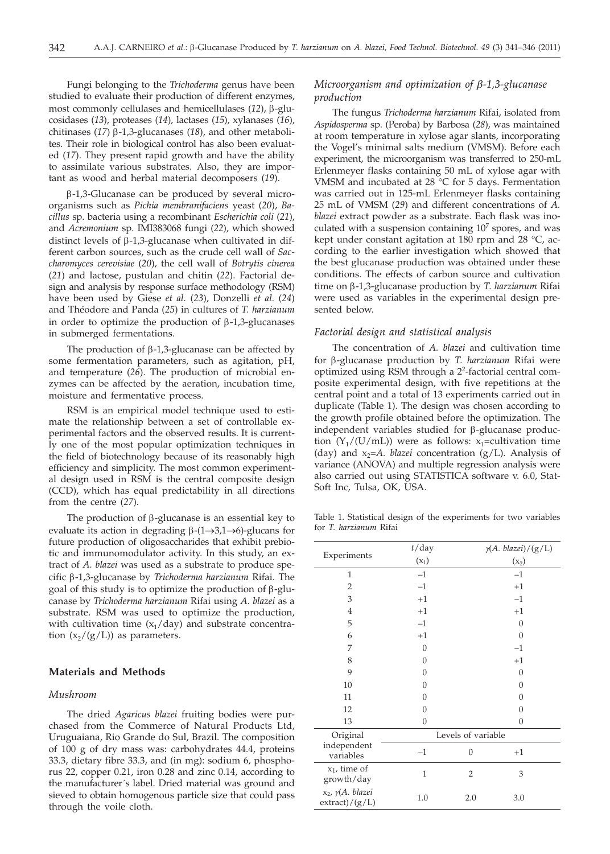Fungi belonging to the *Trichoderma* genus have been studied to evaluate their production of different enzymes, most commonly cellulases and hemicellulases (12), β-glucosidases (*13*), proteases (*14*), lactases (*15*), xylanases (*16*), chitinases ( $17$ )  $\beta$ -1,3-glucanases ( $18$ ), and other metabolites. Their role in biological control has also been evaluated (*17*). They present rapid growth and have the ability to assimilate various substrates. Also, they are important as wood and herbal material decomposers (*19*).

 $\beta$ -1,3-Glucanase can be produced by several microorganisms such as *Pichia membranifaciens* yeast (*20*), *Bacillus* sp. bacteria using a recombinant *Escherichia coli* (*21*), and *Acremonium* sp. IMI383068 fungi (*22*), which showed distinct levels of  $\beta$ -1,3-glucanase when cultivated in different carbon sources, such as the crude cell wall of *Saccharomyces cerevisiae* (*20*), the cell wall of *Botrytis cinerea* (*21*) and lactose, pustulan and chitin (*22*). Factorial design and analysis by response surface methodology (RSM) have been used by Giese *et al.* (*23*), Donzelli *et al.* (*24*) and Théodore and Panda (*25*) in cultures of *T. harzianum* in order to optimize the production of  $\beta$ -1,3-glucanases in submerged fermentations.

The production of  $\beta$ -1,3-glucanase can be affected by some fermentation parameters, such as agitation, pH, and temperature (*26*). The production of microbial enzymes can be affected by the aeration, incubation time, moisture and fermentative process.

RSM is an empirical model technique used to estimate the relationship between a set of controllable experimental factors and the observed results. It is currently one of the most popular optimization techniques in the field of biotechnology because of its reasonably high efficiency and simplicity. The most common experimental design used in RSM is the central composite design (CCD), which has equal predictability in all directions from the centre (*27*).

The production of  $\beta$ -glucanase is an essential key to evaluate its action in degrading  $\beta$ -(1 $\rightarrow$ 3,1 $\rightarrow$ 6)-glucans for future production of oligosaccharides that exhibit prebiotic and immunomodulator activity. In this study, an extract of *A. blazei* was used as a substrate to produce specific b-1,3-glucanase by *Trichoderma harzianum* Rifai. The goal of this study is to optimize the production of  $\beta$ -glucanase by *Trichoderma harzianum* Rifai using *A. blazei* as a substrate. RSM was used to optimize the production, with cultivation time  $(x_1/day)$  and substrate concentration  $(x_2/(g/L))$  as parameters.

# **Materials and Methods**

## *Mushroom*

The dried *Agaricus blazei* fruiting bodies were purchased from the Commerce of Natural Products Ltd, Uruguaiana, Rio Grande do Sul, Brazil. The composition of 100 g of dry mass was: carbohydrates 44.4, proteins 33.3, dietary fibre 33.3, and (in mg): sodium 6, phosphorus 22, copper 0.21, iron 0.28 and zinc 0.14, according to the manufacturer´s label. Dried material was ground and sieved to obtain homogenous particle size that could pass through the voile cloth.

## *Microorganism and optimization of b-1,3-glucanase production*

The fungus *Trichoderma harzianum* Rifai, isolated from *Aspidosperma* sp. (Peroba) by Barbosa (*28*), was maintained at room temperature in xylose agar slants, incorporating the Vogel's minimal salts medium (VMSM). Before each experiment, the microorganism was transferred to 250-mL Erlenmeyer flasks containing 50 mL of xylose agar with VMSM and incubated at 28 °C for 5 days. Fermentation was carried out in 125-mL Erlenmeyer flasks containing 25 mL of VMSM (*29*) and different concentrations of *A. blazei* extract powder as a substrate. Each flask was inoculated with a suspension containing  $10<sup>7</sup>$  spores, and was kept under constant agitation at 180 rpm and 28 °C, according to the earlier investigation which showed that the best glucanase production was obtained under these conditions. The effects of carbon source and cultivation time on b-1,3-glucanase production by *T. harzianum* Rifai were used as variables in the experimental design presented below.

#### *Factorial design and statistical analysis*

The concentration of *A. blazei* and cultivation time for b-glucanase production by *T. harzianum* Rifai were optimized using RSM through a 22-factorial central composite experimental design, with five repetitions at the central point and a total of 13 experiments carried out in duplicate (Table 1). The design was chosen according to the growth profile obtained before the optimization. The independent variables studied for  $\beta$ -glucanase production  $(Y_1/(U/mL))$  were as follows: x<sub>1</sub>=cultivation time (day) and  $x_2 = A$ *. blazei* concentration (g/L). Analysis of variance (ANOVA) and multiple regression analysis were also carried out using STATISTICA software v. 6.0, Stat-Soft Inc, Tulsa, OK, USA.

Table 1. Statistical design of the experiments for two variables for *T. harzianum* Rifai

| Experiments                                    | $t$ /day           |                | $\gamma(A. blazei) / (g/L)$ |  |  |
|------------------------------------------------|--------------------|----------------|-----------------------------|--|--|
|                                                | $(x_1)$            |                | $(x_2)$                     |  |  |
| 1                                              | $-1$               |                | $-1$                        |  |  |
| 2                                              | $-1$               |                | $+1$                        |  |  |
| 3                                              | $+1$               |                | $-1$                        |  |  |
| $\overline{4}$                                 | $+1$               | $+1$           |                             |  |  |
| 5                                              | $-1$               | $\overline{0}$ |                             |  |  |
| 6                                              | $+1$               | $\mathbf{0}$   |                             |  |  |
| 7                                              | $\boldsymbol{0}$   | $-1$           |                             |  |  |
| 8                                              | $\theta$           | $+1$           |                             |  |  |
| 9                                              | $\theta$           | $\overline{0}$ |                             |  |  |
| 10                                             | $\theta$           | $\theta$       |                             |  |  |
| 11                                             | $\theta$           |                | $\overline{0}$              |  |  |
| 12                                             | $\theta$           |                | $\overline{0}$              |  |  |
| 13                                             | $\theta$           |                | $\overline{0}$              |  |  |
| Original                                       | Levels of variable |                |                             |  |  |
| independent<br>variables                       | $-1$               | $\overline{0}$ | $+1$                        |  |  |
| $x_1$ , time of<br>growth/day                  | $\mathbf{1}$       | 2              | 3                           |  |  |
| x <sub>2</sub> , γ(A. blazei<br>extract)/(g/L) | 1.0                | 2.0            | 3.0                         |  |  |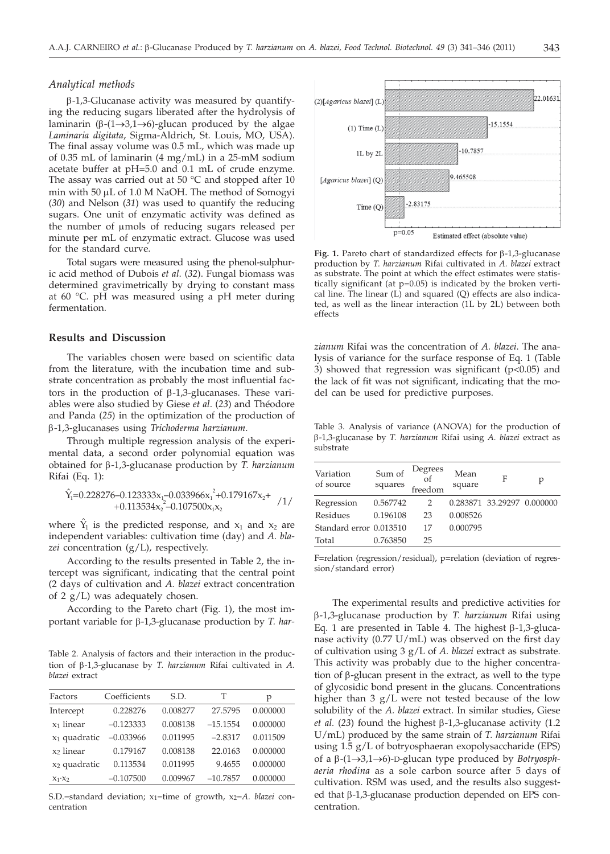$\beta$ -1,3-Glucanase activity was measured by quantifying the reducing sugars liberated after the hydrolysis of laminarin ( $\beta$ -(1 $\rightarrow$ 3,1 $\rightarrow$ 6)-glucan produced by the algae *Laminaria digitata*, Sigma-Aldrich, St. Louis, MO, USA). The final assay volume was 0.5 mL, which was made up of 0.35 mL of laminarin (4 mg/mL) in a 25-mM sodium acetate buffer at pH=5.0 and 0.1 mL of crude enzyme. The assay was carried out at 50 °C and stopped after 10 min with 50 µL of 1.0 M NaOH. The method of Somogyi (*30*) and Nelson (*31*) was used to quantify the reducing sugars. One unit of enzymatic activity was defined as the number of µmols of reducing sugars released per minute per mL of enzymatic extract. Glucose was used for the standard curve.

Total sugars were measured using the phenol-sulphuric acid method of Dubois *et al*. (*32*). Fungal biomass was determined gravimetrically by drying to constant mass at 60 °C. pH was measured using a pH meter during fermentation.

#### **Results and Discussion**

The variables chosen were based on scientific data from the literature, with the incubation time and substrate concentration as probably the most influential factors in the production of  $\beta$ -1,3-glucanases. These variables were also studied by Giese *et al*. (*23*) and Théodore and Panda (*25*) in the optimization of the production of b-1,3-glucanases using *Trichoderma harzianum*.

Through multiple regression analysis of the experimental data, a second order polynomial equation was obtained for b-1,3-glucanase production by *T. harzianum* Rifai (Eq. 1):

$$
\hat{Y}_1=0.228276-0.123333x_1-0.033966x_1^2+0.179167x_2+\n+0.113534x_2^2-0.107500x_1x_2
$$

where  $\hat{Y}_1$  is the predicted response, and  $x_1$  and  $x_2$  are independent variables: cultivation time (day) and *A. blazei* concentration (g/L), respectively.

According to the results presented in Table 2, the intercept was significant, indicating that the central point (2 days of cultivation and *A. blazei* extract concentration of 2  $g/L$ ) was adequately chosen.

According to the Pareto chart (Fig. 1), the most important variable for β-1,3-glucanase production by *T. har-*

Table 2. Analysis of factors and their interaction in the production of b-1,3-glucanase by *T. harzianum* Rifai cultivated in *A. blazei* extract

| Factors                  | Coefficients | S.D.     | т          | р        |
|--------------------------|--------------|----------|------------|----------|
| Intercept                | 0.228276     | 0.008277 | 27.5795    | 0.000000 |
| x <sub>1</sub> linear    | $-0.123333$  | 0.008138 | $-15.1554$ | 0.000000 |
| $x_1$ quadratic          | $-0.033966$  | 0.011995 | $-2.8317$  | 0.011509 |
| x <sub>2</sub> linear    | 0.179167     | 0.008138 | 22.0163    | 0.000000 |
| x <sub>2</sub> quadratic | 0.113534     | 0.011995 | 9.4655     | 0.000000 |
| $X_1 \cdot X_2$          | $-0.107500$  | 0.009967 | $-10.7857$ | 0.000000 |
|                          |              |          |            |          |

S.D.=standard deviation; x<sub>1</sub>=time of growth, x<sub>2</sub>=A. blazei concentration



Fig. 1. Pareto chart of standardized effects for  $\beta$ -1,3-glucanase production by *T. harzianum* Rifai cultivated in *A. blazei* extract as substrate. The point at which the effect estimates were statistically significant (at p=0.05) is indicated by the broken vertical line. The linear  $(L)$  and squared  $(Q)$  effects are also indicated, as well as the linear interaction (1L by 2L) between both effects

*zianum* Rifai was the concentration of *A. blazei*. The analysis of variance for the surface response of Eq. 1 (Table 3) showed that regression was significant ( $p$ <0.05) and the lack of fit was not significant, indicating that the model can be used for predictive purposes.

Table 3. Analysis of variance (ANOVA) for the production of b-1,3-glucanase by *T. harzianum* Rifai using *A. blazei* extract as substrate

| Variation<br>of source  | Sum of<br>squares | Degrees<br>freedom | Mean<br>square | F                          | р |
|-------------------------|-------------------|--------------------|----------------|----------------------------|---|
| Regression              | 0.567742          | 2                  |                | 0.283871 33.29297 0.000000 |   |
| Residues                | 0.196108          | 23                 | 0.008526       |                            |   |
| Standard error 0.013510 |                   | 17                 | 0.000795       |                            |   |
| Total                   | 0.763850          | 25                 |                |                            |   |

F=relation (regression/residual), p=relation (deviation of regression/standard error)

The experimental results and predictive activities for b-1,3-glucanase production by *T. harzianum* Rifai using Eq. 1 are presented in Table 4. The highest  $\beta$ -1,3-glucanase activity (0.77 U/mL) was observed on the first day of cultivation using 3 g/L of *A. blazei* extract as substrate. This activity was probably due to the higher concentration of  $\beta$ -glucan present in the extract, as well to the type of glycosidic bond present in the glucans. Concentrations higher than 3 g/L were not tested because of the low solubility of the *A. blazei* extract. In similar studies, Giese *et al.* (23) found the highest  $\beta$ -1,3-glucanase activity (1.2) U/mL) produced by the same strain of *T. harzianum* Rifai using 1.5 g/L of botryosphaeran exopolysaccharide (EPS) of a  $\beta$ -(1 $\rightarrow$ 3,1 $\rightarrow$ 6)-D-glucan type produced by *Botryosphaeria rhodina* as a sole carbon source after 5 days of cultivation. RSM was used, and the results also suggested that  $\beta$ -1,3-glucanase production depended on EPS concentration.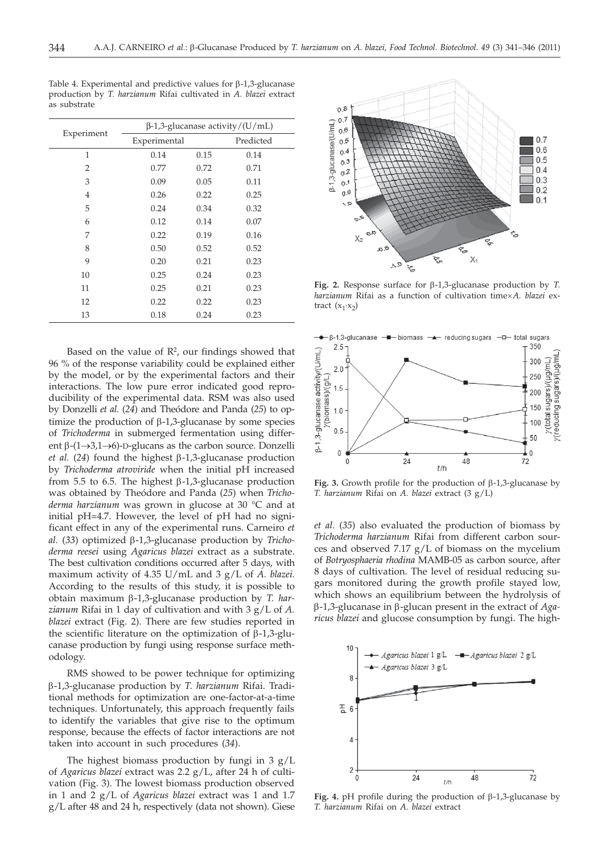| Experiment | $\beta$ -1,3-glucanase activity/(U/mL) |      |           |  |
|------------|----------------------------------------|------|-----------|--|
|            | Experimental                           |      | Predicted |  |
| 1          | 0.14                                   | 0.15 | 0.14      |  |
| 2          | 0.77                                   | 0.72 | 0.71      |  |
| 3          | 0.09                                   | 0.05 | 0.11      |  |
| 4          | 0.26                                   | 0.22 | 0.25      |  |
| 5          | 0.24                                   | 0.34 | 0.32      |  |
| 6          | 0.12                                   | 0.14 | 0.07      |  |
| 7          | 0.22                                   | 0.19 | 0.16      |  |
| 8          | 0.50                                   | 0.52 | 0.52      |  |
| 9          | 0.20                                   | 0.21 | 0.23      |  |
| 10         | 0.25                                   | 0.24 | 0.23      |  |
| 11         | 0.25                                   | 0.21 | 0.23      |  |
| 12         | 0.22                                   | 0.22 | 0.23      |  |
| 13         | 0.18                                   | 0.24 | 0.23      |  |

Table 4. Experimental and predictive values for  $\beta$ -1,3-glucanase production by *T. harzianum* Rifai cultivated in *A. blazei* extract as substrate

Based on the value of  $\mathbb{R}^2$ , our findings showed that 96 % of the response variability could be explained either by the model, or by the experimental factors and their interactions. The low pure error indicated good reproducibility of the experimental data. RSM was also used by Donzelli *et al.* (*24*) and Theódore and Panda (*25*) to optimize the production of  $\beta$ -1,3-glucanase by some species of *Trichoderma* in submerged fermentation using different  $\beta$ -(1 $\rightarrow$ 3,1 $\rightarrow$ 6)-D-glucans as the carbon source. Donzelli *et al.* (24) found the highest  $\beta$ -1,3-glucanase production by *Trichoderma atroviride* when the initial pH increased from 5.5 to 6.5. The highest  $\beta$ -1,3-glucanase production was obtained by Theódore and Panda (*25*) when *Trichoderma harzianum* was grown in glucose at 30 °C and at initial pH=4.7. However, the level of pH had no significant effect in any of the experimental runs. Carneiro *et* al. (33) optimized β-1,3-glucanase production by *Trichoderma reesei* using *Agaricus blazei* extract as a substrate. The best cultivation conditions occurred after 5 days, with maximum activity of 4.35 U/mL and 3 g/L of *A. blazei.* According to the results of this study, it is possible to obtain maximum b-1,3-glucanase production by *T. harzianum* Rifai in 1 day of cultivation and with 3 g/L of *A. blazei* extract (Fig. 2). There are few studies reported in the scientific literature on the optimization of  $\beta$ -1,3-glucanase production by fungi using response surface methodology.

RMS showed to be power technique for optimizing b-1,3-glucanase production by *T. harzianum* Rifai. Traditional methods for optimization are one-factor-at-a-time techniques. Unfortunately, this approach frequently fails to identify the variables that give rise to the optimum response, because the effects of factor interactions are not taken into account in such procedures (*34*).

The highest biomass production by fungi in 3 g/L of *Agaricus blazei* extract was 2.2 g/L, after 24 h of cultivation (Fig. 3). The lowest biomass production observed in 1 and 2 g/L of *Agaricus blazei* extract was 1 and 1.7 g/L after 48 and 24 h, respectively (data not shown). Giese



**Fig. 2.** Response surface for b-1,3-glucanase production by *T. harzianum* Rifai as a function of cultivation time´*A. blazei* extract  $(x_1 \cdot x_2)$ 



Fig. 3. Growth profile for the production of  $\beta$ -1,3-glucanase by *T. harzianum* Rifai on *A. blazei* extract (3 g/L)

*et al.* (*35*) also evaluated the production of biomass by *Trichoderma harzianum* Rifai from different carbon sources and observed  $7.17$  g/L of biomass on the mycelium of *Botryosphaeria rhodina* MAMB-05 as carbon source, after 8 days of cultivation. The level of residual reducing sugars monitored during the growth profile stayed low, which shows an equilibrium between the hydrolysis of b-1,3-glucanase in b-glucan present in the extract of *Agaricus blazei* and glucose consumption by fungi. The high-



Fig. 4. pH profile during the production of β-1,3-glucanase by *T. harzianum* Rifai on *A. blazei* extract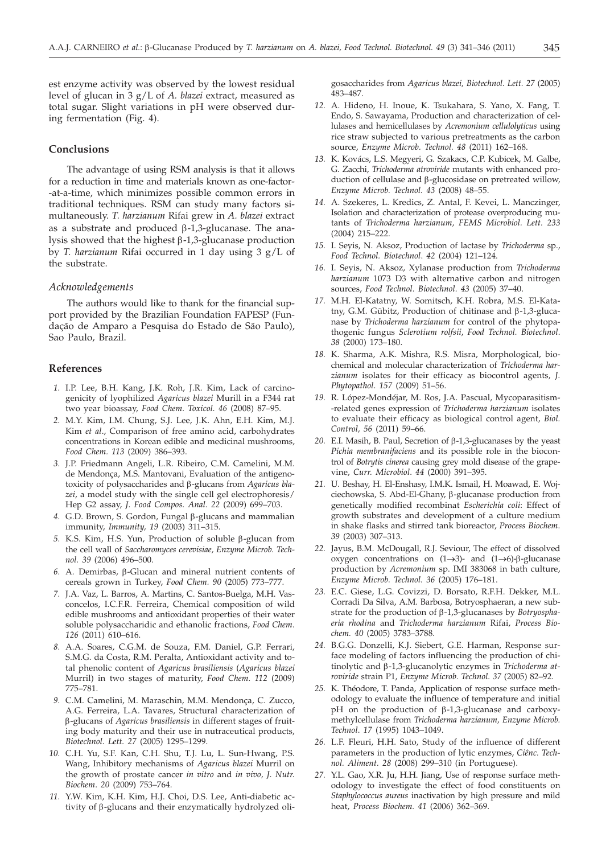## **Conclusions**

The advantage of using RSM analysis is that it allows for a reduction in time and materials known as one-factor- -at-a-time, which minimizes possible common errors in traditional techniques. RSM can study many factors simultaneously. *T. harzianum* Rifai grew in *A. blazei* extract as a substrate and produced  $\beta$ -1,3-glucanase. The analysis showed that the highest  $\beta$ -1,3-glucanase production by *T. harzianum* Rifai occurred in 1 day using 3 g/L of the substrate.

#### *Acknowledgements*

The authors would like to thank for the financial support provided by the Brazilian Foundation FAPESP (Fundação de Amparo a Pesquisa do Estado de São Paulo), Sao Paulo, Brazil.

# **References**

- *1.* I.P. Lee, B.H. Kang, J.K. Roh, J.R. Kim, Lack of carcinogenicity of lyophilized *Agaricus blazei* Murill in a F344 rat two year bioassay, *Food Chem. Toxicol. 46* (2008) 87–95.
- *2.* M.Y. Kim, I.M. Chung, S.J. Lee, J.K. Ahn, E.H. Kim, M.J. Kim *et al*., Comparison of free amino acid, carbohydrates concentrations in Korean edible and medicinal mushrooms, *Food Chem. 113* (2009) 386–393.
- *3.* J.P. Friedmann Angeli, L.R. Ribeiro, C.M. Camelini, M.M. de Mendonça, M.S. Mantovani, Evaluation of the antigenotoxicity of polysaccharides and b-glucans from *Agaricus blazei*, a model study with the single cell gel electrophoresis/ Hep G2 assay, *J. Food Compos. Anal. 22* (2009) 699–703.
- *4.* G.D. Brown, S. Gordon, Fungal b-glucans and mammalian immunity, *Immunity, 19* (2003) 311–315.
- 5. K.S. Kim, H.S. Yun, Production of soluble β-glucan from the cell wall of *Saccharomyces cerevisiae, Enzyme Microb. Technol. 39* (2006) 496–500.
- *6.* A. Demirbas, b-Glucan and mineral nutrient contents of cereals grown in Turkey, *Food Chem. 90* (2005) 773–777.
- *7.* J.A. Vaz, L. Barros, A. Martins, C. Santos-Buelga, M.H. Vasconcelos, I.C.F.R. Ferreira, Chemical composition of wild edible mushrooms and antioxidant properties of their water soluble polysaccharidic and ethanolic fractions, *Food Chem*. *126* (2011) 610–616.
- *8.* A.A. Soares, C.G.M. de Souza, F.M. Daniel, G.P. Ferrari, S.M.G. da Costa, R.M. Peralta, Antioxidant activity and total phenolic content of *Agaricus brasiliensis* (*Agaricus blazei* Murril) in two stages of maturity, *Food Chem. 112* (2009) 775–781.
- *9.* C.M. Camelini, M. Maraschin, M.M. Mendonça, C. Zucco, A.G. Ferreira, L.A. Tavares, Structural characterization of b-glucans of *Agaricus brasiliensis* in different stages of fruiting body maturity and their use in nutraceutical products, *Biotechnol. Lett. 27* (2005) 1295–1299.
- *10.* C.H. Yu, S.F. Kan, C.H. Shu, T.J. Lu, L. Sun-Hwang, P.S. Wang, Inhibitory mechanisms of *Agaricus blazei* Murril on the growth of prostate cancer *in vitro* and *in vivo, J. Nutr. Biochem*. *20* (2009) 753–764.
- *11.* Y.W. Kim, K.H. Kim, H.J. Choi, D.S. Lee, Anti-diabetic activity of b-glucans and their enzymatically hydrolyzed oli-

gosaccharides from *Agaricus blazei, Biotechnol. Lett. 27* (2005) 483–487.

- *12.* A. Hideno, H. Inoue, K. Tsukahara, S. Yano, X. Fang, T. Endo, S. Sawayama, Production and characterization of cellulases and hemicellulases by *Acremonium cellulolyticus* using rice straw subjected to various pretreatments as the carbon source, *Enzyme Microb. Technol. 48* (2011) 162–168.
- *13.* K. Kovács, L.S. Megyeri, G. Szakacs, C.P. Kubicek, M. Galbe, G. Zacchi, *Trichoderma atroviride* mutants with enhanced production of cellulase and β-glucosidase on pretreated willow, *Enzyme Microb. Technol. 43* (2008) 48–55.
- *14.* A. Szekeres, L. Kredics, Z. Antal, F. Kevei, L. Manczinger, Isolation and characterization of protease overproducing mutants of *Trichoderma harzianum, FEMS Microbiol. Lett. 233* (2004) 215–222.
- *15.* I. Seyis, N. Aksoz, Production of lactase by *Trichoderma* sp., *Food Technol. Biotechnol*. *42* (2004) 121–124.
- *16.* I. Seyis, N. Aksoz, Xylanase production from *Trichoderma harzianum* 1073 D3 with alternative carbon and nitrogen sources, *Food Technol. Biotechnol*. *43* (2005) 37–40.
- *17.* M.H. El-Katatny, W. Somitsch, K.H. Robra, M.S*.* El-Katatny, G.M. Gübitz, Production of chitinase and  $\beta$ -1,3-glucanase by *Trichoderma harzianum* for control of the phytopathogenic fungus *Sclerotium rolfsii*, *Food Technol. Biotechnol*. *38* (2000) 173–180.
- *18.* K. Sharma, A.K. Mishra, R.S. Misra, Morphological, biochemical and molecular characterization of *Trichoderma harzianum* isolates for their efficacy as biocontrol agents, *J. Phytopathol*. *157* (2009) 51–56.
- *19.* R. López-Mondéjar, M. Ros, J.A. Pascual, Mycoparasitism- -related genes expression of *Trichoderma harzianum* isolates to evaluate their efficacy as biological control agent, *Biol. Control, 56* (2011) 59–66.
- 20. E.I. Masih, B. Paul, Secretion of  $\beta$ -1,3-glucanases by the yeast *Pichia membranifaciens* and its possible role in the biocontrol of *Botrytis cinerea* causing grey mold disease of the grapevine, *Curr. Microbiol*. *44* (2000) 391–395.
- *21.* U. Beshay, H. El-Enshasy, I.M.K. Ismail, H. Moawad, E. Wojciechowska, S. Abd-El-Ghany, b-glucanase production from genetically modified recombinat *Escherichia coli*: Effect of growth substrates and development of a culture medium in shake flasks and stirred tank bioreactor, *Process Biochem*. *39* (2003) 307–313.
- *22.* Jayus, B.M. McDougall, R.J. Seviour, The effect of dissolved oxygen concentrations on  $(1 \rightarrow 3)$ - and  $(1 \rightarrow 6)$ - $\beta$ -glucanase production by *Acremonium* sp. IMI 383068 in bath culture, *Enzyme Microb. Technol. 36* (2005) 176–181.
- *23.* E.C. Giese, L.G. Covizzi, D. Borsato, R.F.H. Dekker, M.L. Corradi Da Silva, A.M. Barbosa, Botryosphaeran, a new substrate for the production of b-1,3-glucanases by *Botryosphaeria rhodina* and *Trichoderma harzianum* Rifai, *Process Biochem. 40* (2005) 3783–3788.
- *24.* B.G.G. Donzelli, K.J. Siebert, G.E. Harman, Response surface modeling of factors influencing the production of chitinolytic and b-1,3-glucanolytic enzymes in *Trichoderma atroviride* strain P1, *Enzyme Microb. Technol. 37* (2005) 82–92.
- *25.* K. Théodore, T. Panda, Application of response surface methodology to evaluate the influence of temperature and initial  $pH$  on the production of  $\beta$ -1,3-glucanase and carboxymethylcellulase from *Trichoderma harzianum, Enzyme Microb. Technol*. *17* (1995) 1043–1049.
- *26.* L.F. Fleuri, H.H. Sato, Study of the influence of different parameters in the production of lytic enzymes, *Ciênc. Technol. Aliment. 28* (2008) 299–310 (in Portuguese).
- *27.* Y.L. Gao, X.R. Ju, H.H. Jiang, Use of response surface methodology to investigate the effect of food constituents on *Staphylococcus aureus* inactivation by high pressure and mild heat, *Process Biochem. 41* (2006) 362–369.